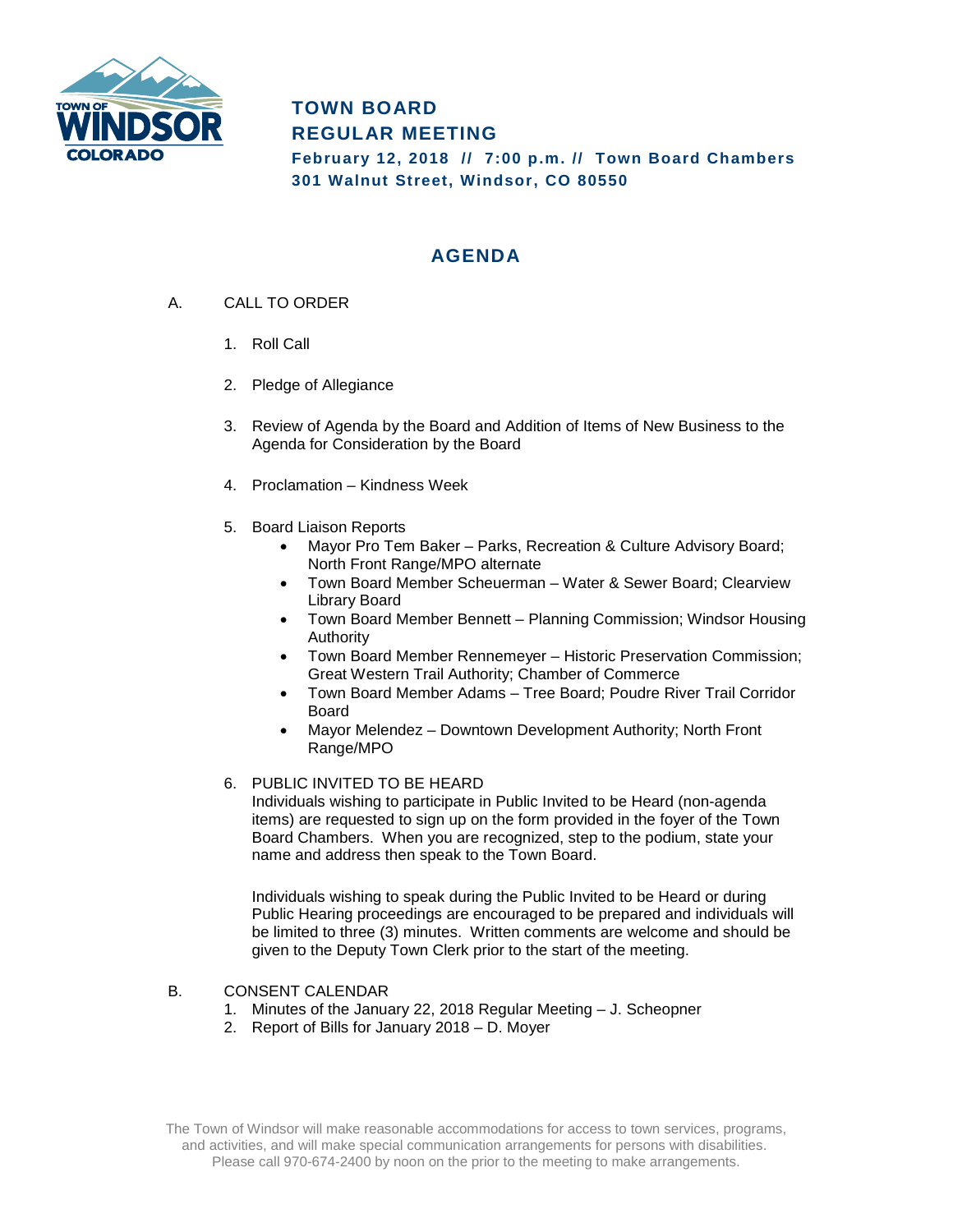

# **TOWN BOARD REGULAR MEETING**

**February 12, 2018 // 7:00 p.m. // Town Board Chambers 301 Walnut Street, Windsor, CO 80550**

# **AGENDA**

- A. CALL TO ORDER
	- 1. Roll Call
	- 2. Pledge of Allegiance
	- 3. Review of Agenda by the Board and Addition of Items of New Business to the Agenda for Consideration by the Board
	- 4. Proclamation Kindness Week
	- 5. Board Liaison Reports
		- Mayor Pro Tem Baker Parks, Recreation & Culture Advisory Board; North Front Range/MPO alternate
		- Town Board Member Scheuerman Water & Sewer Board; Clearview Library Board
		- Town Board Member Bennett Planning Commission; Windsor Housing Authority
		- Town Board Member Rennemeyer Historic Preservation Commission; Great Western Trail Authority; Chamber of Commerce
		- Town Board Member Adams Tree Board; Poudre River Trail Corridor Board
		- Mayor Melendez Downtown Development Authority; North Front Range/MPO

### 6. PUBLIC INVITED TO BE HEARD

Individuals wishing to participate in Public Invited to be Heard (non-agenda items) are requested to sign up on the form provided in the foyer of the Town Board Chambers. When you are recognized, step to the podium, state your name and address then speak to the Town Board.

Individuals wishing to speak during the Public Invited to be Heard or during Public Hearing proceedings are encouraged to be prepared and individuals will be limited to three (3) minutes. Written comments are welcome and should be given to the Deputy Town Clerk prior to the start of the meeting.

#### B. CONSENT CALENDAR

- 1. Minutes of the January 22, 2018 Regular Meeting J. Scheopner
- 2. Report of Bills for January 2018 D. Moyer

The Town of Windsor will make reasonable accommodations for access to town services, programs, and activities, and will make special communication arrangements for persons with disabilities. Please call 970-674-2400 by noon on the prior to the meeting to make arrangements.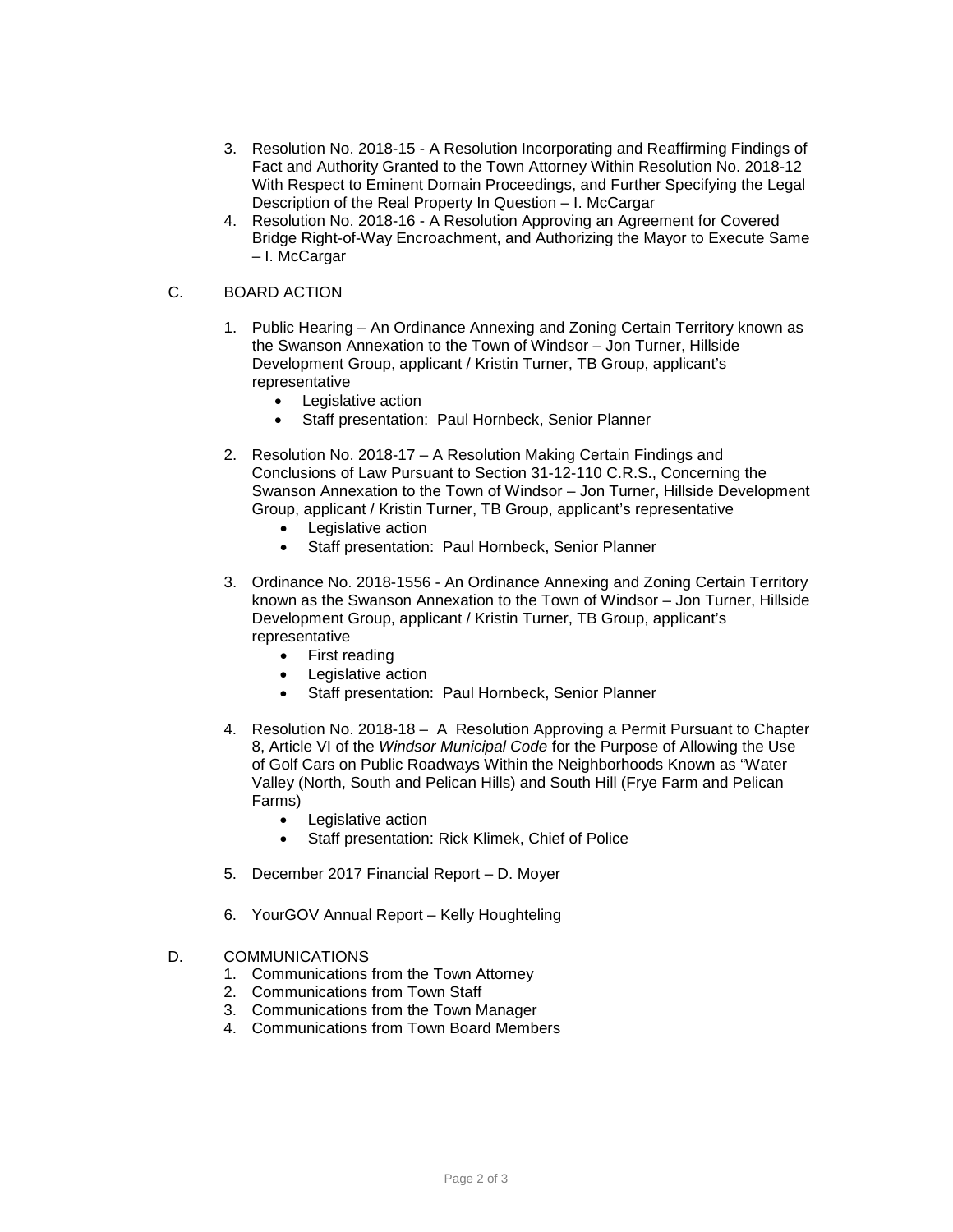- 3. Resolution No. 2018-15 A Resolution Incorporating and Reaffirming Findings of Fact and Authority Granted to the Town Attorney Within Resolution No. 2018-12 With Respect to Eminent Domain Proceedings, and Further Specifying the Legal Description of the Real Property In Question – I. McCargar
- 4. Resolution No. 2018-16 A Resolution Approving an Agreement for Covered Bridge Right-of-Way Encroachment, and Authorizing the Mayor to Execute Same – I. McCargar

### C. BOARD ACTION

- 1. Public Hearing An Ordinance Annexing and Zoning Certain Territory known as the Swanson Annexation to the Town of Windsor – Jon Turner, Hillside Development Group, applicant / Kristin Turner, TB Group, applicant's representative
	- Legislative action
	- Staff presentation: Paul Hornbeck, Senior Planner
- 2. Resolution No. 2018-17 A Resolution Making Certain Findings and Conclusions of Law Pursuant to Section 31-12-110 C.R.S., Concerning the Swanson Annexation to the Town of Windsor – Jon Turner, Hillside Development Group, applicant / Kristin Turner, TB Group, applicant's representative
	- Legislative action
	- Staff presentation: Paul Hornbeck, Senior Planner
- 3. Ordinance No. 2018-1556 An Ordinance Annexing and Zoning Certain Territory known as the Swanson Annexation to the Town of Windsor – Jon Turner, Hillside Development Group, applicant / Kristin Turner, TB Group, applicant's representative
	- First reading
	- Legislative action
	- Staff presentation: Paul Hornbeck, Senior Planner
- 4. Resolution No. 2018-18 A Resolution Approving a Permit Pursuant to Chapter 8, Article VI of the *Windsor Municipal Code* for the Purpose of Allowing the Use of Golf Cars on Public Roadways Within the Neighborhoods Known as "Water Valley (North, South and Pelican Hills) and South Hill (Frye Farm and Pelican Farms)
	- Legislative action
	- Staff presentation: Rick Klimek, Chief of Police
- 5. December 2017 Financial Report D. Moyer
- 6. YourGOV Annual Report Kelly Houghteling
- D. COMMUNICATIONS
	- 1. Communications from the Town Attorney
	- 2. Communications from Town Staff
	- 3. Communications from the Town Manager
	- 4. Communications from Town Board Members